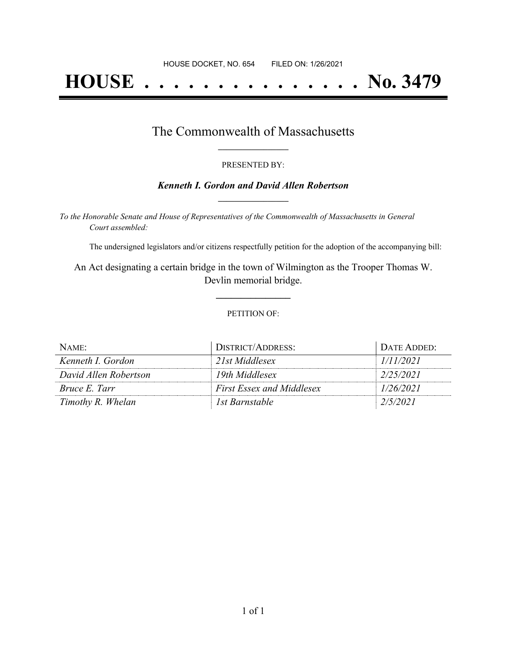# **HOUSE . . . . . . . . . . . . . . . No. 3479**

### The Commonwealth of Massachusetts **\_\_\_\_\_\_\_\_\_\_\_\_\_\_\_\_\_**

#### PRESENTED BY:

#### *Kenneth I. Gordon and David Allen Robertson* **\_\_\_\_\_\_\_\_\_\_\_\_\_\_\_\_\_**

*To the Honorable Senate and House of Representatives of the Commonwealth of Massachusetts in General Court assembled:*

The undersigned legislators and/or citizens respectfully petition for the adoption of the accompanying bill:

An Act designating a certain bridge in the town of Wilmington as the Trooper Thomas W. Devlin memorial bridge.

**\_\_\_\_\_\_\_\_\_\_\_\_\_\_\_**

#### PETITION OF:

| NAME:                 | DISTRICT/ADDRESS:                | DATE ADDED: |
|-----------------------|----------------------------------|-------------|
| Kenneth I. Gordon     | 21st Middlesex                   | 1/11/2021   |
| David Allen Robertson | 19th Middlesex                   | 2/25/2021   |
| <i>Bruce E. Tarr</i>  | <b>First Essex and Middlesex</b> | 1/26/2021   |
| Timothy R. Whelan     | 1st Barnstable                   | 2/5/2021    |